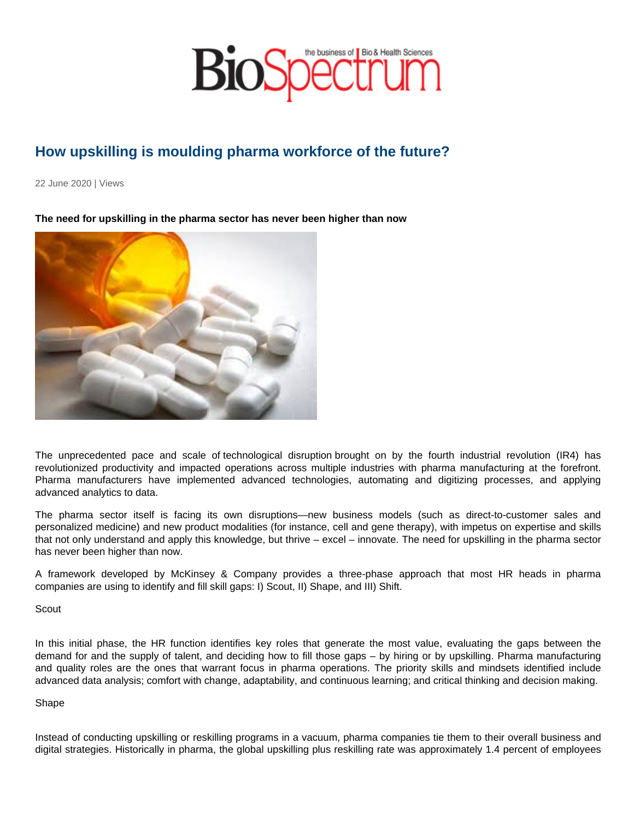## How upskilling is moulding pharma workforce of the future?

22 June 2020 | Views

The need for upskilling in the pharma sector has never been higher than now

The unprecedented pace and scale of technological disruption brought on by the fourth industrial revolution (IR4) has revolutionized productivity and impacted operations across multiple industries with pharma manufacturing at the forefront. Pharma manufacturers have implemented advanced technologies, automating and digitizing processes, and applying advanced analytics to data.

The pharma sector itself is facing its own disruptions—new business models (such as direct-to-customer sales and personalized medicine) and new product modalities (for instance, cell and gene therapy), with impetus on expertise and skills that not only understand and apply this knowledge, but thrive – excel – innovate. The need for upskilling in the pharma sector has never been higher than now.

A framework developed by McKinsey & Company provides a three-phase approach that most HR heads in pharma companies are using to identify and fill skill gaps: I) Scout, II) Shape, and III) Shift.

**Scout** 

In this initial phase, the HR function identifies key roles that generate the most value, evaluating the gaps between the demand for and the supply of talent, and deciding how to fill those gaps – by hiring or by upskilling. Pharma manufacturing and quality roles are the ones that warrant focus in pharma operations. The priority skills and mindsets identified include advanced data analysis; comfort with change, adaptability, and continuous learning; and critical thinking and decision making.

## Shape

Instead of conducting upskilling or reskilling programs in a vacuum, pharma companies tie them to their overall business and digital strategies. Historically in pharma, the global upskilling plus reskilling rate was approximately 1.4 percent of employees